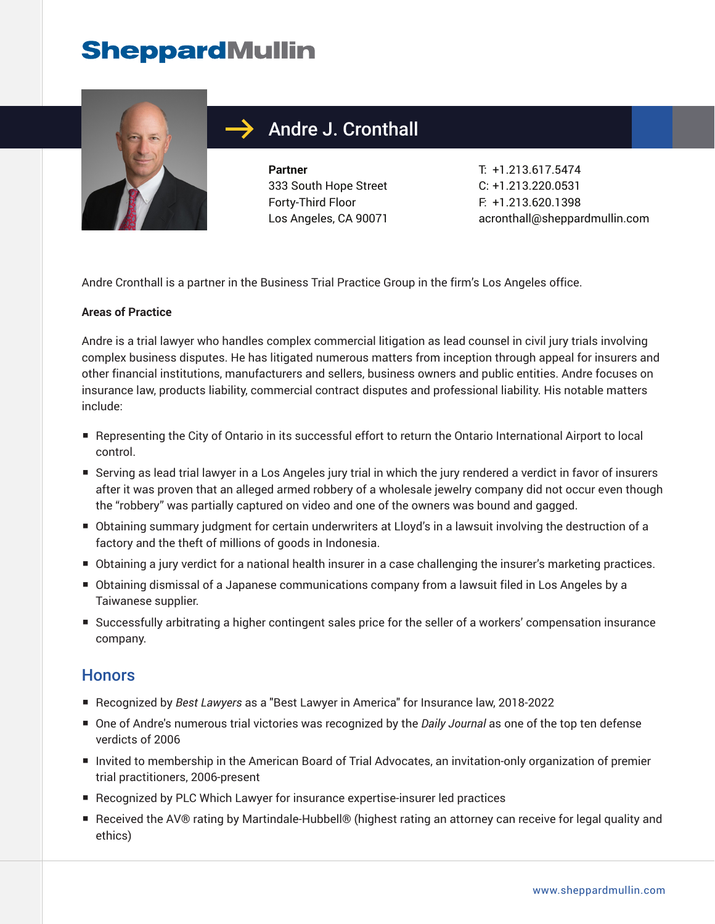# **SheppardMullin**



## Andre J. Cronthall

**Partner** 333 South Hope Street Forty-Third Floor Los Angeles, CA 90071 T: +1.213.617.5474 C: +1.213.220.0531 F: +1.213.620.1398 acronthall@sheppardmullin.com

Andre Cronthall is a partner in the Business Trial Practice Group in the firm's Los Angeles office.

#### **Areas of Practice**

Andre is a trial lawyer who handles complex commercial litigation as lead counsel in civil jury trials involving complex business disputes. He has litigated numerous matters from inception through appeal for insurers and other financial institutions, manufacturers and sellers, business owners and public entities. Andre focuses on insurance law, products liability, commercial contract disputes and professional liability. His notable matters include:

- Representing the City of Ontario in its successful effort to return the Ontario International Airport to local control.
- Serving as lead trial lawyer in a Los Angeles jury trial in which the jury rendered a verdict in favor of insurers after it was proven that an alleged armed robbery of a wholesale jewelry company did not occur even though the "robbery" was partially captured on video and one of the owners was bound and gagged.
- Obtaining summary judgment for certain underwriters at Lloyd's in a lawsuit involving the destruction of a factory and the theft of millions of goods in Indonesia.
- Obtaining a jury verdict for a national health insurer in a case challenging the insurer's marketing practices.
- Obtaining dismissal of a Japanese communications company from a lawsuit filed in Los Angeles by a Taiwanese supplier.
- Successfully arbitrating a higher contingent sales price for the seller of a workers' compensation insurance company.

#### **Honors**

- Recognized by *Best Lawyers* as a "Best Lawyer in America" for Insurance law, 2018-2022
- One of Andre's numerous trial victories was recognized by the *Daily Journal* as one of the top ten defense verdicts of 2006
- Invited to membership in the American Board of Trial Advocates, an invitation-only organization of premier trial practitioners, 2006-present
- Recognized by PLC Which Lawyer for insurance expertise-insurer led practices
- Received the AV® rating by Martindale-Hubbell® (highest rating an attorney can receive for legal quality and ethics)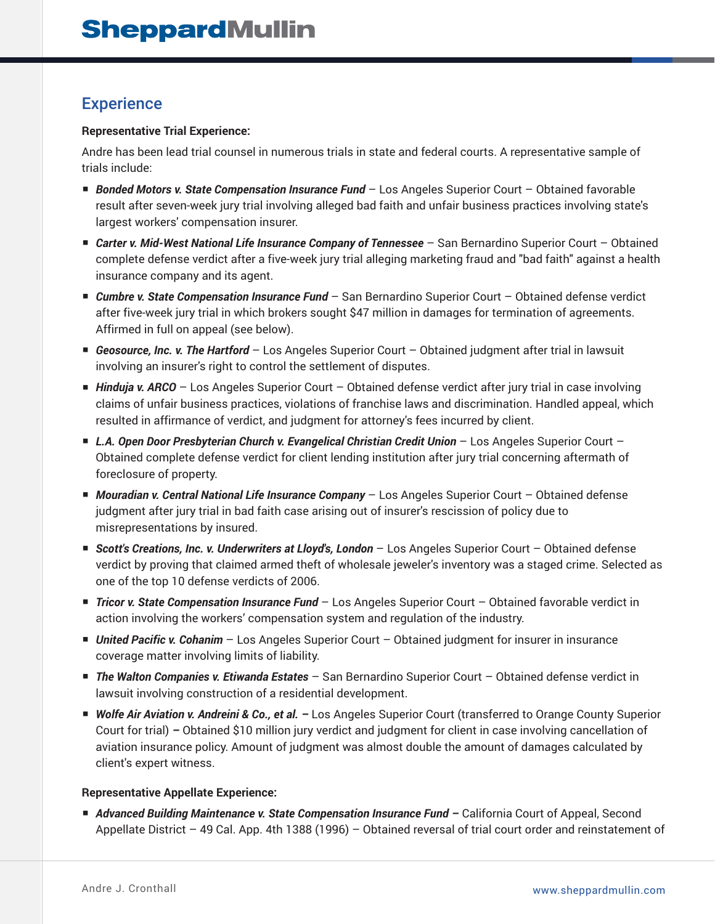#### **Experience**

#### **Representative Trial Experience:**

Andre has been lead trial counsel in numerous trials in state and federal courts. A representative sample of trials include:

- *Bonded Motors v. State Compensation Insurance Fund* Los Angeles Superior Court Obtained favorable result after seven-week jury trial involving alleged bad faith and unfair business practices involving state's largest workers' compensation insurer.
- *Carter v. Mid-West National Life Insurance Company of Tennessee* San Bernardino Superior Court Obtained complete defense verdict after a five-week jury trial alleging marketing fraud and "bad faith" against a health insurance company and its agent.
- *Cumbre v. State Compensation Insurance Fund* San Bernardino Superior Court Obtained defense verdict after five-week jury trial in which brokers sought \$47 million in damages for termination of agreements. Affirmed in full on appeal (see below).
- *Geosource, Inc. v. The Hartford* Los Angeles Superior Court Obtained judgment after trial in lawsuit involving an insurer's right to control the settlement of disputes.
- *Hinduja v. ARCO* Los Angeles Superior Court Obtained defense verdict after jury trial in case involving claims of unfair business practices, violations of franchise laws and discrimination. Handled appeal, which resulted in affirmance of verdict, and judgment for attorney's fees incurred by client.
- *L.A. Open Door Presbyterian Church v. Evangelical Christian Credit Union* Los Angeles Superior Court Obtained complete defense verdict for client lending institution after jury trial concerning aftermath of foreclosure of property.
- *Mouradian v. Central National Life Insurance Company* Los Angeles Superior Court Obtained defense judgment after jury trial in bad faith case arising out of insurer's rescission of policy due to misrepresentations by insured.
- *Scott's Creations, Inc. v. Underwriters at Lloyd's, London* Los Angeles Superior Court Obtained defense verdict by proving that claimed armed theft of wholesale jeweler's inventory was a staged crime. Selected as one of the top 10 defense verdicts of 2006.
- *Tricor v. State Compensation Insurance Fund* Los Angeles Superior Court Obtained favorable verdict in action involving the workers' compensation system and regulation of the industry.
- *United Pacific v. Cohanim* Los Angeles Superior Court Obtained judgment for insurer in insurance coverage matter involving limits of liability.
- *The Walton Companies v. Etiwanda Estates* San Bernardino Superior Court Obtained defense verdict in lawsuit involving construction of a residential development.
- *Wolfe Air Aviation v. Andreini & Co., et al.* Los Angeles Superior Court (transferred to Orange County Superior Court for trial) *–* Obtained \$10 million jury verdict and judgment for client in case involving cancellation of aviation insurance policy. Amount of judgment was almost double the amount of damages calculated by client's expert witness.

#### **Representative Appellate Experience:**

■ *Advanced Building Maintenance v. State Compensation Insurance Fund – California Court of Appeal, Second* Appellate District – 49 Cal. App. 4th 1388 (1996) – Obtained reversal of trial court order and reinstatement of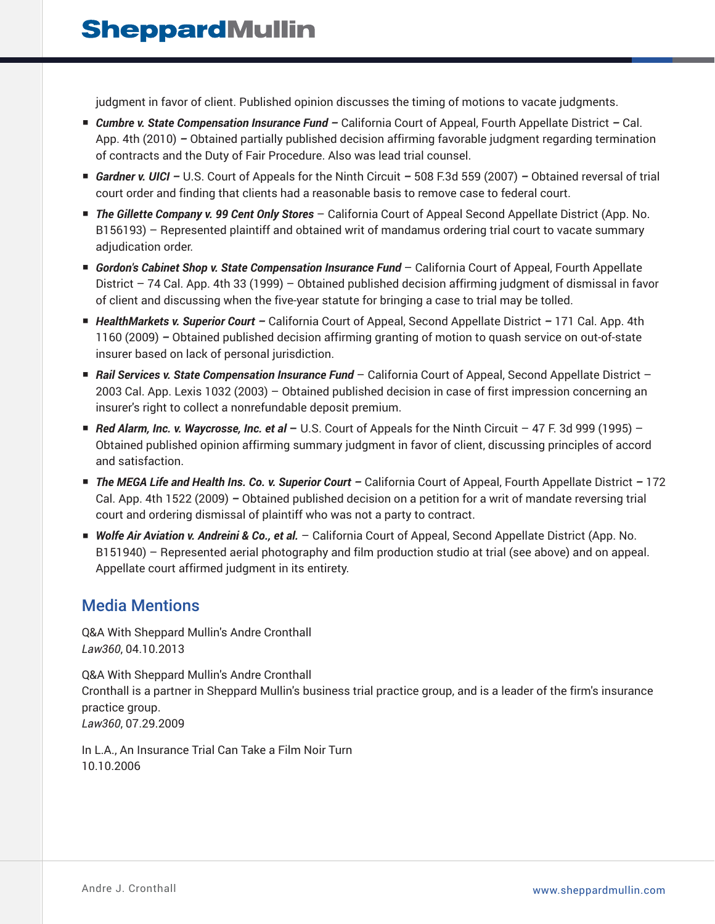judgment in favor of client. Published opinion discusses the timing of motions to vacate judgments.

- *Cumbre v. State Compensation Insurance Fund –* California Court of Appeal, Fourth Appellate District *–* Cal. App. 4th (2010) *–* Obtained partially published decision affirming favorable judgment regarding termination of contracts and the Duty of Fair Procedure. Also was lead trial counsel.
- *Gardner v. UICI* U.S. Court of Appeals for the Ninth Circuit 508 F.3d 559 (2007) Obtained reversal of trial court order and finding that clients had a reasonable basis to remove case to federal court.
- *The Gillette Company v. 99 Cent Only Stores* California Court of Appeal Second Appellate District (App. No. B156193) – Represented plaintiff and obtained writ of mandamus ordering trial court to vacate summary adjudication order.
- *Gordon's Cabinet Shop v. State Compensation Insurance Fund* California Court of Appeal, Fourth Appellate District – 74 Cal. App. 4th 33 (1999) – Obtained published decision affirming judgment of dismissal in favor of client and discussing when the five-year statute for bringing a case to trial may be tolled.
- *HealthMarkets v. Superior Court –* California Court of Appeal, Second Appellate District *–* 171 Cal. App. 4th 1160 (2009) *–* Obtained published decision affirming granting of motion to quash service on out-of-state insurer based on lack of personal jurisdiction.
- *Rail Services v. State Compensation Insurance Fund* California Court of Appeal, Second Appellate District 2003 Cal. App. Lexis 1032 (2003) – Obtained published decision in case of first impression concerning an insurer's right to collect a nonrefundable deposit premium.
- *Red Alarm, Inc. v. Waycrosse, Inc. et al* U.S. Court of Appeals for the Ninth Circuit 47 F. 3d 999 (1995) Obtained published opinion affirming summary judgment in favor of client, discussing principles of accord and satisfaction.
- *The MEGA Life and Health Ins. Co. v. Superior Court –* California Court of Appeal, Fourth Appellate District *–* 172 Cal. App. 4th 1522 (2009) *–* Obtained published decision on a petition for a writ of mandate reversing trial court and ordering dismissal of plaintiff who was not a party to contract.
- *Wolfe Air Aviation v. Andreini & Co., et al.* California Court of Appeal, Second Appellate District (App. No. B151940) – Represented aerial photography and film production studio at trial (see above) and on appeal. Appellate court affirmed judgment in its entirety.

### Media Mentions

Q&A With Sheppard Mullin's Andre Cronthall *Law360*, 04.10.2013

Q&A With Sheppard Mullin's Andre Cronthall Cronthall is a partner in Sheppard Mullin's business trial practice group, and is a leader of the firm's insurance practice group. *Law360*, 07.29.2009

In L.A., An Insurance Trial Can Take a Film Noir Turn 10.10.2006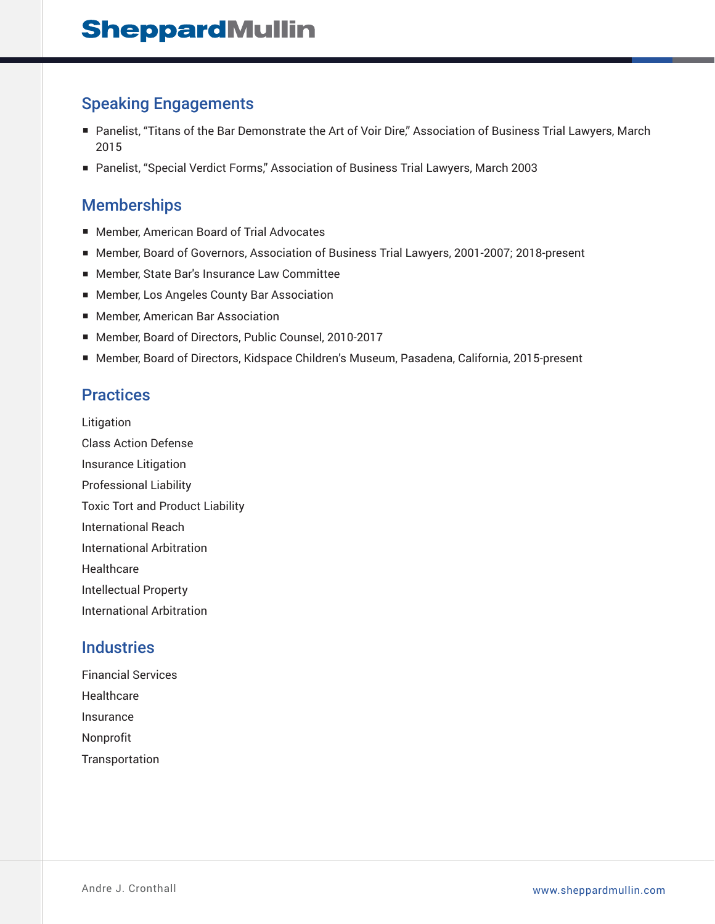### Speaking Engagements

- Panelist, "Titans of the Bar Demonstrate the Art of Voir Dire," Association of Business Trial Lawyers, March 2015
- Panelist, "Special Verdict Forms," Association of Business Trial Lawyers, March 2003

#### **Memberships**

- Member, American Board of Trial Advocates
- Member, Board of Governors, Association of Business Trial Lawyers, 2001-2007; 2018-present
- Member, State Bar's Insurance Law Committee
- Member, Los Angeles County Bar Association
- Member, American Bar Association
- Member, Board of Directors, Public Counsel, 2010-2017
- Member, Board of Directors, Kidspace Children's Museum, Pasadena, California, 2015-present

#### **Practices**

Litigation Class Action Defense Insurance Litigation Professional Liability Toxic Tort and Product Liability International Reach International Arbitration **Healthcare** Intellectual Property International Arbitration

#### **Industries**

Financial Services Healthcare Insurance Nonprofit **Transportation**